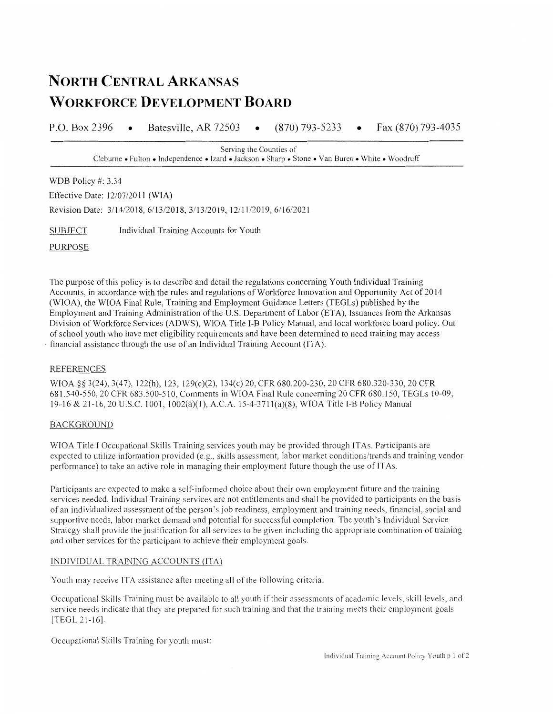## **NORTH CENTRAL ARKANSAS WORKFORCE DEVELOPMENT BOARD**

Fax (870) 793-4035 P.O. Box 2396 Batesville, AR 72503  $(870)$  793-5233  $\bullet$  $\bullet$ 

> Serving the Counties of Cleburne • Fulton • Independence • Izard • Jackson • Sharp • Stone • Van Buren • White • Woodruff

WDB Policy #: 3.34

Effective Date: 12/07/2011 (WIA)

Revision Date: 3/14/2018, 6/13/2018, 3/13/2019, 12/11/2019, 6/16/2021

**SUBJECT** Individual Training Accounts for Youth

**PURPOSE** 

The purpose of this policy is to describe and detail the regulations concerning Youth Individual Training Accounts, in accordance with the rules and regulations of Workforce Innovation and Opportunity Act of 2014 (WIOA), the WIOA Final Rule, Training and Employment Guidance Letters (TEGLs) published by the Employment and Training Administration of the U.S. Department of Labor (ETA), Issuances from the Arkansas Division of Workforce Services (ADWS), WIOA Title I-B Policy Manual, and local workforce board policy. Out of school youth who have met eligibility requirements and have been determined to need training may access financial assistance through the use of an Individual Training Account (ITA).

## **REFERENCES**

WIOA §§ 3(24), 3(47), 122(h), 123, 129(c)(2), 134(c) 20, CFR 680.200-230, 20 CFR 680.320-330, 20 CFR 681.540-550, 20 CFR 683.500-510, Comments in WIOA Final Rule concerning 20 CFR 680.150, TEGLs 10-09, 19-16 & 21-16, 20 U.S.C. 1001, 1002(a)(1), A.C.A. 15-4-3711(a)(8), WIOA Title I-B Policy Manual

## **BACKGROUND**

WIOA Title I Occupational Skills Training services youth may be provided through ITAs. Participants are expected to utilize information provided (e.g., skills assessment, labor market conditions/trends and training vendor performance) to take an active role in managing their employment future though the use of ITAs.

Participants are expected to make a self-informed choice about their own employment future and the training services needed. Individual Training services are not entitlements and shall be provided to participants on the basis of an individualized assessment of the person's job readiness, employment and training needs, financial, social and supportive needs, labor market demand and potential for successful completion. The youth's Individual Service Strategy shall provide the justification for all services to be given including the appropriate combination of training and other services for the participant to achieve their employment goals.

## INDIVIDUAL TRAINING ACCOUNTS (ITA)

Youth may receive ITA assistance after meeting all of the following criteria:

Occupational Skills Training must be available to all youth if their assessments of academic levels, skill levels, and service needs indicate that they are prepared for such training and that the training meets their employment goals [TEGL 21-16].

Occupational Skills Training for youth must: